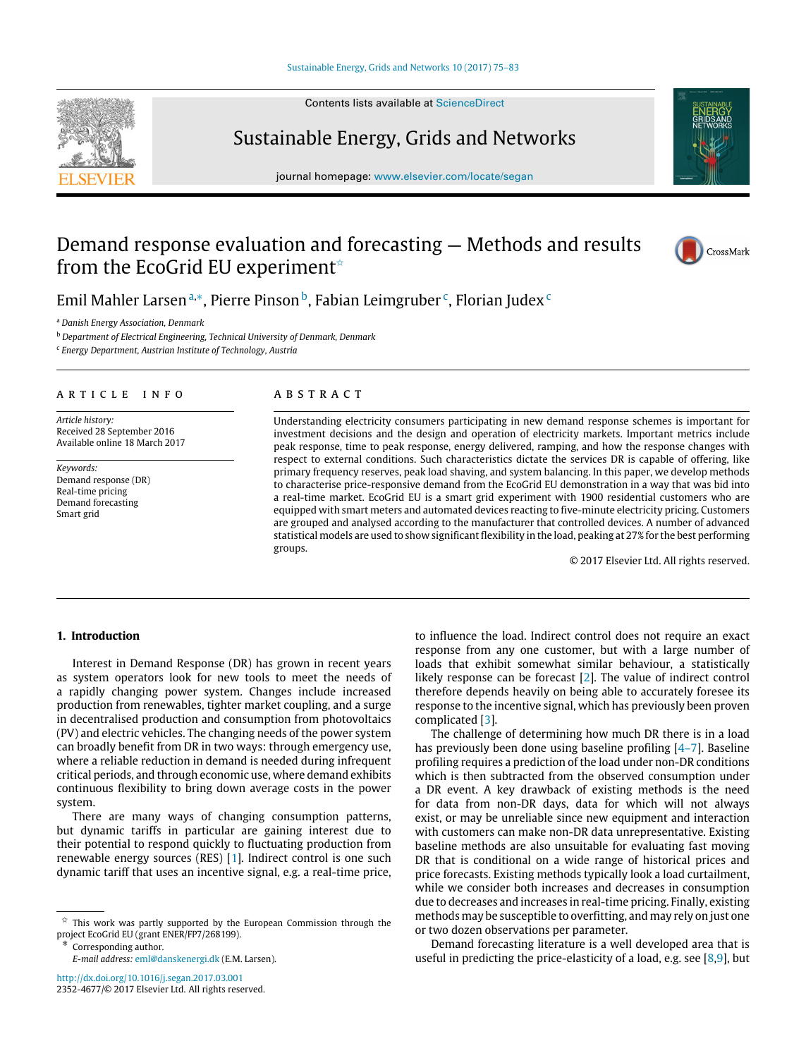# [Sustainable Energy, Grids and Networks 10 \(2017\) 75–83](http://dx.doi.org/10.1016/j.segan.2017.03.001)

Contents lists available at [ScienceDirect](http://www.elsevier.com/locate/segan)

# Sustainable Energy, Grids and Networks

journal homepage: [www.elsevier.com/locate/segan](http://www.elsevier.com/locate/segan)

# Demand response evaluation and forecasting — Methods and results from the EcoGrid EU experiment<sup>\*</sup>



Emil Mahler Larsen <sup>[a,](#page-0-1)</sup>\*, Pierre Pinson <sup>[b](#page-0-3)</sup>, Fabian Leimgruber <sup>[c](#page-0-4)</sup>, Florian Judex <sup>c</sup>

<span id="page-0-1"></span><sup>a</sup> *Danish Energy Association, Denmark*

<span id="page-0-3"></span><sup>b</sup> *Department of Electrical Engineering, Technical University of Denmark, Denmark*

<span id="page-0-4"></span>c *Energy Department, Austrian Institute of Technology, Austria*

# a r t i c l e i n f o

*Article history:* Received 28 September 2016 Available online 18 March 2017

*Keywords:* Demand response (DR) Real-time pricing Demand forecasting Smart grid

# a b s t r a c t

Understanding electricity consumers participating in new demand response schemes is important for investment decisions and the design and operation of electricity markets. Important metrics include peak response, time to peak response, energy delivered, ramping, and how the response changes with respect to external conditions. Such characteristics dictate the services DR is capable of offering, like primary frequency reserves, peak load shaving, and system balancing. In this paper, we develop methods to characterise price-responsive demand from the EcoGrid EU demonstration in a way that was bid into a real-time market. EcoGrid EU is a smart grid experiment with 1900 residential customers who are equipped with smart meters and automated devices reacting to five-minute electricity pricing. Customers are grouped and analysed according to the manufacturer that controlled devices. A number of advanced statistical models are used to show significant flexibility in the load, peaking at 27% for the best performing groups.

© 2017 Elsevier Ltd. All rights reserved.

# **1. Introduction**

Interest in Demand Response (DR) has grown in recent years as system operators look for new tools to meet the needs of a rapidly changing power system. Changes include increased production from renewables, tighter market coupling, and a surge in decentralised production and consumption from photovoltaics (PV) and electric vehicles. The changing needs of the power system can broadly benefit from DR in two ways: through emergency use, where a reliable reduction in demand is needed during infrequent critical periods, and through economic use, where demand exhibits continuous flexibility to bring down average costs in the power system.

There are many ways of changing consumption patterns, but dynamic tariffs in particular are gaining interest due to their potential to respond quickly to fluctuating production from renewable energy sources (RES) [\[1\]](#page-8-0). Indirect control is one such dynamic tariff that uses an incentive signal, e.g. a real-time price,

<span id="page-0-2"></span>Corresponding author.

*E-mail address:* [eml@danskenergi.dk](mailto:eml@danskenergi.dk) (E.M. Larsen).

<http://dx.doi.org/10.1016/j.segan.2017.03.001> 2352-4677/© 2017 Elsevier Ltd. All rights reserved. to influence the load. Indirect control does not require an exact response from any one customer, but with a large number of loads that exhibit somewhat similar behaviour, a statistically likely response can be forecast [\[2\]](#page-8-1). The value of indirect control therefore depends heavily on being able to accurately foresee its response to the incentive signal, which has previously been proven complicated [\[3\]](#page-8-2).

The challenge of determining how much DR there is in a load has previously been done using baseline profiling [\[4–7\]](#page-8-3). Baseline profiling requires a prediction of the load under non-DR conditions which is then subtracted from the observed consumption under a DR event. A key drawback of existing methods is the need for data from non-DR days, data for which will not always exist, or may be unreliable since new equipment and interaction with customers can make non-DR data unrepresentative. Existing baseline methods are also unsuitable for evaluating fast moving DR that is conditional on a wide range of historical prices and price forecasts. Existing methods typically look a load curtailment, while we consider both increases and decreases in consumption due to decreases and increases in real-time pricing. Finally, existing methods may be susceptible to overfitting, and may rely on just one or two dozen observations per parameter.

Demand forecasting literature is a well developed area that is useful in predicting the price-elasticity of a load, e.g. see  $[8,9]$  $[8,9]$ , but



<span id="page-0-0"></span> $\overrightarrow{x}$  This work was partly supported by the European Commission through the project EcoGrid EU (grant ENER/FP7/268199).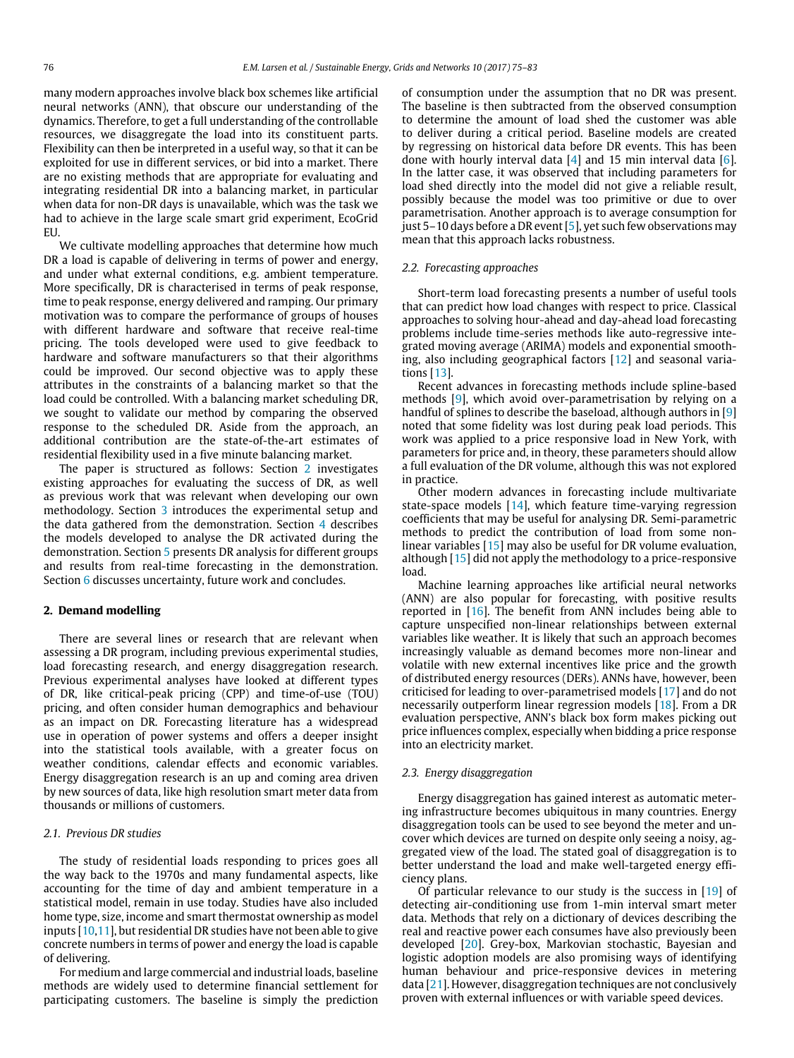many modern approaches involve black box schemes like artificial neural networks (ANN), that obscure our understanding of the dynamics. Therefore, to get a full understanding of the controllable resources, we disaggregate the load into its constituent parts. Flexibility can then be interpreted in a useful way, so that it can be exploited for use in different services, or bid into a market. There are no existing methods that are appropriate for evaluating and integrating residential DR into a balancing market, in particular when data for non-DR days is unavailable, which was the task we had to achieve in the large scale smart grid experiment, EcoGrid EU.

We cultivate modelling approaches that determine how much DR a load is capable of delivering in terms of power and energy, and under what external conditions, e.g. ambient temperature. More specifically, DR is characterised in terms of peak response, time to peak response, energy delivered and ramping. Our primary motivation was to compare the performance of groups of houses with different hardware and software that receive real-time pricing. The tools developed were used to give feedback to hardware and software manufacturers so that their algorithms could be improved. Our second objective was to apply these attributes in the constraints of a balancing market so that the load could be controlled. With a balancing market scheduling DR, we sought to validate our method by comparing the observed response to the scheduled DR. Aside from the approach, an additional contribution are the state-of-the-art estimates of residential flexibility used in a five minute balancing market.

The paper is structured as follows: Section [2](#page-1-0) investigates existing approaches for evaluating the success of DR, as well as previous work that was relevant when developing our own methodology. Section [3](#page-2-0) introduces the experimental setup and the data gathered from the demonstration. Section [4](#page-2-1) describes the models developed to analyse the DR activated during the demonstration. Section [5](#page-5-0) presents DR analysis for different groups and results from real-time forecasting in the demonstration. Section [6](#page-8-6) discusses uncertainty, future work and concludes.

# <span id="page-1-0"></span>**2. Demand modelling**

There are several lines or research that are relevant when assessing a DR program, including previous experimental studies, load forecasting research, and energy disaggregation research. Previous experimental analyses have looked at different types of DR, like critical-peak pricing (CPP) and time-of-use (TOU) pricing, and often consider human demographics and behaviour as an impact on DR. Forecasting literature has a widespread use in operation of power systems and offers a deeper insight into the statistical tools available, with a greater focus on weather conditions, calendar effects and economic variables. Energy disaggregation research is an up and coming area driven by new sources of data, like high resolution smart meter data from thousands or millions of customers.

# *2.1. Previous DR studies*

The study of residential loads responding to prices goes all the way back to the 1970s and many fundamental aspects, like accounting for the time of day and ambient temperature in a statistical model, remain in use today. Studies have also included home type, size, income and smart thermostat ownership as model inputs [\[10](#page-8-7)[,11\]](#page-8-8), but residential DR studies have not been able to give concrete numbers in terms of power and energy the load is capable of delivering.

For medium and large commercial and industrial loads, baseline methods are widely used to determine financial settlement for participating customers. The baseline is simply the prediction of consumption under the assumption that no DR was present. The baseline is then subtracted from the observed consumption to determine the amount of load shed the customer was able to deliver during a critical period. Baseline models are created by regressing on historical data before DR events. This has been done with hourly interval data  $[4]$  and 15 min interval data  $[6]$ . In the latter case, it was observed that including parameters for load shed directly into the model did not give a reliable result, possibly because the model was too primitive or due to over parametrisation. Another approach is to average consumption for just 5–10 days before a DR event [\[5\]](#page-8-10), yet such few observations may mean that this approach lacks robustness.

# *2.2. Forecasting approaches*

Short-term load forecasting presents a number of useful tools that can predict how load changes with respect to price. Classical approaches to solving hour-ahead and day-ahead load forecasting problems include time-series methods like auto-regressive integrated moving average (ARIMA) models and exponential smoothing, also including geographical factors [\[12\]](#page-8-11) and seasonal variations [\[13\]](#page-8-12).

Recent advances in forecasting methods include spline-based methods [\[9\]](#page-8-5), which avoid over-parametrisation by relying on a handful of splines to describe the baseload, although authors in [\[9\]](#page-8-5) noted that some fidelity was lost during peak load periods. This work was applied to a price responsive load in New York, with parameters for price and, in theory, these parameters should allow a full evaluation of the DR volume, although this was not explored in practice.

Other modern advances in forecasting include multivariate state-space models [\[14\]](#page-8-13), which feature time-varying regression coefficients that may be useful for analysing DR. Semi-parametric methods to predict the contribution of load from some nonlinear variables [\[15\]](#page-8-14) may also be useful for DR volume evaluation, although [\[15\]](#page-8-14) did not apply the methodology to a price-responsive load.

Machine learning approaches like artificial neural networks (ANN) are also popular for forecasting, with positive results reported in  $[16]$ . The benefit from ANN includes being able to capture unspecified non-linear relationships between external variables like weather. It is likely that such an approach becomes increasingly valuable as demand becomes more non-linear and volatile with new external incentives like price and the growth of distributed energy resources (DERs). ANNs have, however, been criticised for leading to over-parametrised models [\[17\]](#page-8-16) and do not necessarily outperform linear regression models [\[18\]](#page-8-17). From a DR evaluation perspective, ANN's black box form makes picking out price influences complex, especially when bidding a price response into an electricity market.

#### *2.3. Energy disaggregation*

Energy disaggregation has gained interest as automatic metering infrastructure becomes ubiquitous in many countries. Energy disaggregation tools can be used to see beyond the meter and uncover which devices are turned on despite only seeing a noisy, aggregated view of the load. The stated goal of disaggregation is to better understand the load and make well-targeted energy efficiency plans.

Of particular relevance to our study is the success in  $[19]$  of detecting air-conditioning use from 1-min interval smart meter data. Methods that rely on a dictionary of devices describing the real and reactive power each consumes have also previously been developed [\[20\]](#page-8-19). Grey-box, Markovian stochastic, Bayesian and logistic adoption models are also promising ways of identifying human behaviour and price-responsive devices in metering data [\[21\]](#page-8-20). However, disaggregation techniques are not conclusively proven with external influences or with variable speed devices.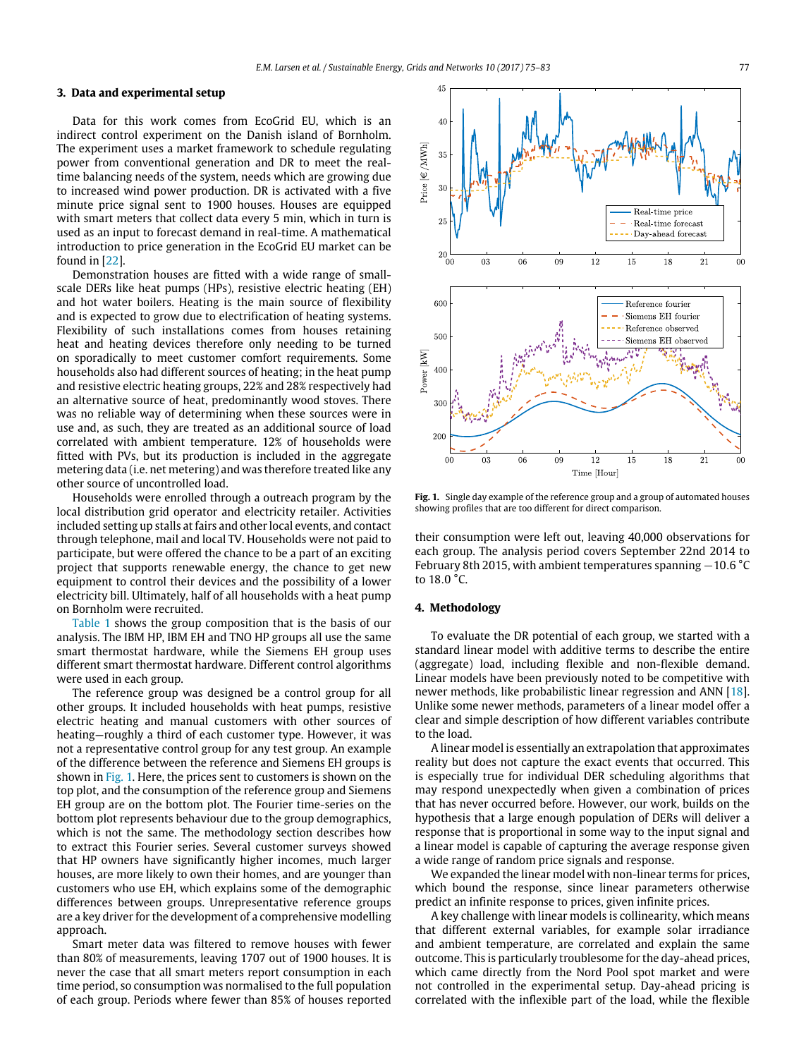# <span id="page-2-0"></span>**3. Data and experimental setup**

Data for this work comes from EcoGrid EU, which is an indirect control experiment on the Danish island of Bornholm. The experiment uses a market framework to schedule regulating power from conventional generation and DR to meet the realtime balancing needs of the system, needs which are growing due to increased wind power production. DR is activated with a five minute price signal sent to 1900 houses. Houses are equipped with smart meters that collect data every 5 min, which in turn is used as an input to forecast demand in real-time. A mathematical introduction to price generation in the EcoGrid EU market can be found in [\[22\]](#page-8-21).

Demonstration houses are fitted with a wide range of smallscale DERs like heat pumps (HPs), resistive electric heating (EH) and hot water boilers. Heating is the main source of flexibility and is expected to grow due to electrification of heating systems. Flexibility of such installations comes from houses retaining heat and heating devices therefore only needing to be turned on sporadically to meet customer comfort requirements. Some households also had different sources of heating; in the heat pump and resistive electric heating groups, 22% and 28% respectively had an alternative source of heat, predominantly wood stoves. There was no reliable way of determining when these sources were in use and, as such, they are treated as an additional source of load correlated with ambient temperature. 12% of households were fitted with PVs, but its production is included in the aggregate metering data (i.e. net metering) and was therefore treated like any other source of uncontrolled load.

Households were enrolled through a outreach program by the local distribution grid operator and electricity retailer. Activities included setting up stalls at fairs and other local events, and contact through telephone, mail and local TV. Households were not paid to participate, but were offered the chance to be a part of an exciting project that supports renewable energy, the chance to get new equipment to control their devices and the possibility of a lower electricity bill. Ultimately, half of all households with a heat pump on Bornholm were recruited.

[Table 1](#page-3-0) shows the group composition that is the basis of our analysis. The IBM HP, IBM EH and TNO HP groups all use the same smart thermostat hardware, while the Siemens EH group uses different smart thermostat hardware. Different control algorithms were used in each group.

The reference group was designed be a control group for all other groups. It included households with heat pumps, resistive electric heating and manual customers with other sources of heating—roughly a third of each customer type. However, it was not a representative control group for any test group. An example of the difference between the reference and Siemens EH groups is shown in [Fig. 1.](#page-2-2) Here, the prices sent to customers is shown on the top plot, and the consumption of the reference group and Siemens EH group are on the bottom plot. The Fourier time-series on the bottom plot represents behaviour due to the group demographics, which is not the same. The methodology section describes how to extract this Fourier series. Several customer surveys showed that HP owners have significantly higher incomes, much larger houses, are more likely to own their homes, and are younger than customers who use EH, which explains some of the demographic differences between groups. Unrepresentative reference groups are a key driver for the development of a comprehensive modelling approach.

Smart meter data was filtered to remove houses with fewer than 80% of measurements, leaving 1707 out of 1900 houses. It is never the case that all smart meters report consumption in each time period, so consumption was normalised to the full population of each group. Periods where fewer than 85% of houses reported

<span id="page-2-2"></span>

**Fig. 1.** Single day example of the reference group and a group of automated houses showing profiles that are too different for direct comparison.

their consumption were left out, leaving 40,000 observations for each group. The analysis period covers September 22nd 2014 to February 8th 2015, with ambient temperatures spanning −10.6 °C to 18.0 °C.

# <span id="page-2-1"></span>**4. Methodology**

To evaluate the DR potential of each group, we started with a standard linear model with additive terms to describe the entire (aggregate) load, including flexible and non-flexible demand. Linear models have been previously noted to be competitive with newer methods, like probabilistic linear regression and ANN [\[18\]](#page-8-17). Unlike some newer methods, parameters of a linear model offer a clear and simple description of how different variables contribute to the load.

A linear model is essentially an extrapolation that approximates reality but does not capture the exact events that occurred. This is especially true for individual DER scheduling algorithms that may respond unexpectedly when given a combination of prices that has never occurred before. However, our work, builds on the hypothesis that a large enough population of DERs will deliver a response that is proportional in some way to the input signal and a linear model is capable of capturing the average response given a wide range of random price signals and response.

We expanded the linear model with non-linear terms for prices, which bound the response, since linear parameters otherwise predict an infinite response to prices, given infinite prices.

A key challenge with linear models is collinearity, which means that different external variables, for example solar irradiance and ambient temperature, are correlated and explain the same outcome. This is particularly troublesome for the day-ahead prices, which came directly from the Nord Pool spot market and were not controlled in the experimental setup. Day-ahead pricing is correlated with the inflexible part of the load, while the flexible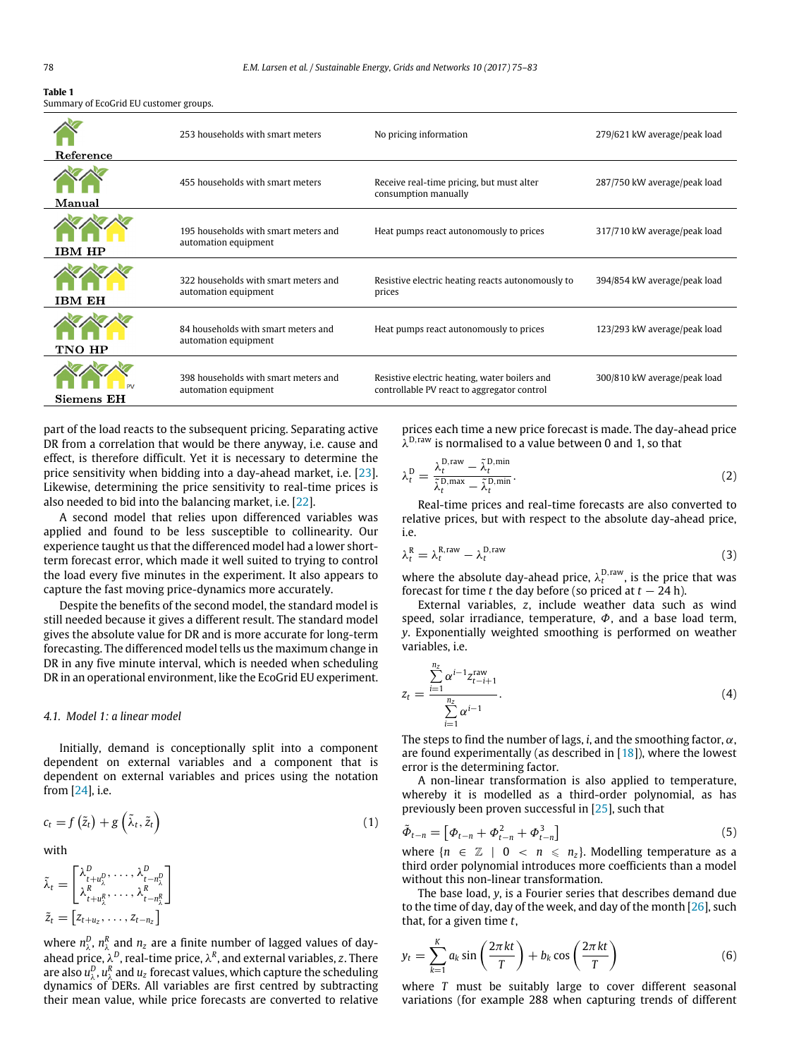<span id="page-3-0"></span>

| Table 1                                |  |
|----------------------------------------|--|
| Summary of EcoGrid EU customer groups. |  |

|            | 253 households with smart meters                             | No pricing information                                                                       | 279/621 kW average/peak load |
|------------|--------------------------------------------------------------|----------------------------------------------------------------------------------------------|------------------------------|
| Reference  |                                                              |                                                                                              |                              |
| Manual     | 455 households with smart meters                             | Receive real-time pricing, but must alter<br>consumption manually                            | 287/750 kW average/peak load |
| IBM HP     | 195 households with smart meters and<br>automation equipment | Heat pumps react autonomously to prices                                                      | 317/710 kW average/peak load |
| IBM EH     | 322 households with smart meters and<br>automation equipment | Resistive electric heating reacts autonomously to<br>prices                                  | 394/854 kW average/peak load |
| TNO HP     | 84 households with smart meters and<br>automation equipment  | Heat pumps react autonomously to prices                                                      | 123/293 kW average/peak load |
| Siemens EH | 398 households with smart meters and<br>automation equipment | Resistive electric heating, water boilers and<br>controllable PV react to aggregator control | 300/810 kW average/peak load |

part of the load reacts to the subsequent pricing. Separating active DR from a correlation that would be there anyway, i.e. cause and effect, is therefore difficult. Yet it is necessary to determine the price sensitivity when bidding into a day-ahead market, i.e. [\[23\]](#page-8-22). Likewise, determining the price sensitivity to real-time prices is also needed to bid into the balancing market, i.e. [\[22\]](#page-8-21).

A second model that relies upon differenced variables was applied and found to be less susceptible to collinearity. Our experience taught us that the differenced model had a lower shortterm forecast error, which made it well suited to trying to control the load every five minutes in the experiment. It also appears to capture the fast moving price-dynamics more accurately.

Despite the benefits of the second model, the standard model is still needed because it gives a different result. The standard model gives the absolute value for DR and is more accurate for long-term forecasting. The differenced model tells us the maximum change in DR in any five minute interval, which is needed when scheduling DR in an operational environment, like the EcoGrid EU experiment.

#### *4.1. Model 1: a linear model*

Initially, demand is conceptionally split into a component dependent on external variables and a component that is dependent on external variables and prices using the notation from [\[24\]](#page-8-23), i.e.

$$
c_t = f\left(\tilde{z}_t\right) + g\left(\tilde{\lambda}_t, \tilde{z}_t\right) \tag{1}
$$

with

$$
\tilde{\lambda}_t = \begin{bmatrix}\n\lambda_{t+u_\lambda^D}^D, \dots, \lambda_{t-n_\lambda^D}^D \\
\lambda_{t+u_\lambda^R}^R, \dots, \lambda_{t-n_\lambda^R}^R\n\end{bmatrix}
$$
\n
$$
\tilde{z}_t = \begin{bmatrix}\nz_{t+u_z}, \dots, z_{t-n_z}\n\end{bmatrix}
$$

where  $n_{\lambda}^{D}$ ,  $n_{\lambda}^{R}$  and  $n_{z}$  are a finite number of lagged values of dayahead price, λ<sup>D</sup>, real-time price, λ<sup>R</sup>, and external variables, z. There are also  $u_{\lambda}^D$ ,  $u_{\lambda}^R$  and  $u_z$  forecast values, which capture the scheduling dynamics of DERs. All variables are first centred by subtracting their mean value, while price forecasts are converted to relative prices each time a new price forecast is made. The day-ahead price  $\lambda^{D,raw}$  is normalised to a value between 0 and 1, so that

$$
\lambda_t^{\text{D}} = \frac{\lambda_t^{\text{D}, \text{raw}} - \tilde{\lambda}_t^{\text{D}, \text{min}}}{\tilde{\lambda}_t^{\text{D}, \text{max}} - \tilde{\lambda}_t^{\text{D}, \text{min}}}.
$$
\n(2)

Real-time prices and real-time forecasts are also converted to relative prices, but with respect to the absolute day-ahead price,  $i.e.$ 

$$
\lambda_t^{\rm R} = \lambda_t^{\rm R, raw} - \lambda_t^{\rm D, raw} \tag{3}
$$

where the absolute day-ahead price,  $\lambda_t^{\text{D,raw}}$ , is the price that was forecast for time *t* the day before (so priced at  $t - 24$  h).

External variables, *z*, include weather data such as wind speed, solar irradiance, temperature,  $\Phi$ , and a base load term, *y*. Exponentially weighted smoothing is performed on weather variables, i.e.

$$
z_{t} = \frac{\sum_{i=1}^{n_{z}} \alpha^{i-1} z_{t-i+1}^{\text{raw}}}{\sum_{i=1}^{n_{z}} \alpha^{i-1}}.
$$
\n
$$
(4)
$$

The steps to find the number of lags, *i*, and the smoothing factor,  $\alpha$ , are found experimentally (as described in  $[18]$ ), where the lowest error is the determining factor.

A non-linear transformation is also applied to temperature, whereby it is modelled as a third-order polynomial, as has previously been proven successful in [\[25\]](#page-8-24), such that

$$
\tilde{\Phi}_{t-n} = \left[ \Phi_{t-n} + \Phi_{t-n}^2 + \Phi_{t-n}^3 \right] \tag{5}
$$

where  ${n \in \mathbb{Z} \mid 0 \lt n \leq n_{z}}$ . Modelling temperature as a third order polynomial introduces more coefficients than a model without this non-linear transformation.

The base load, *y*, is a Fourier series that describes demand due to the time of day, day of the week, and day of the month  $[26]$ , such that, for a given time *t*,

$$
y_t = \sum_{k=1}^{K} a_k \sin\left(\frac{2\pi kt}{T}\right) + b_k \cos\left(\frac{2\pi kt}{T}\right)
$$
(6)

where *T* must be suitably large to cover different seasonal variations (for example 288 when capturing trends of different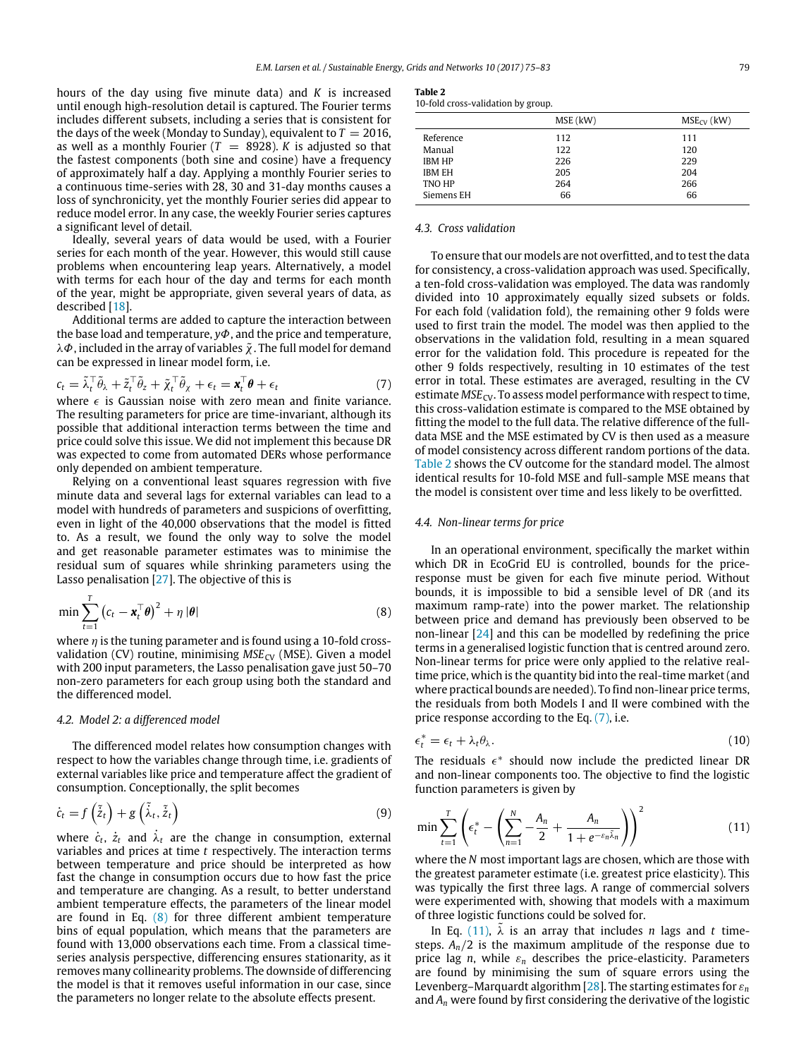hours of the day using five minute data) and *K* is increased until enough high-resolution detail is captured. The Fourier terms includes different subsets, including a series that is consistent for the days of the week (Monday to Sunday), equivalent to  $T = 2016$ , as well as a monthly Fourier  $(T = 8928)$ . *K* is adjusted so that the fastest components (both sine and cosine) have a frequency of approximately half a day. Applying a monthly Fourier series to a continuous time-series with 28, 30 and 31-day months causes a loss of synchronicity, yet the monthly Fourier series did appear to reduce model error. In any case, the weekly Fourier series captures a significant level of detail.

Ideally, several years of data would be used, with a Fourier series for each month of the year. However, this would still cause problems when encountering leap years. Alternatively, a model with terms for each hour of the day and terms for each month of the year, might be appropriate, given several years of data, as described [\[18\]](#page-8-17).

Additional terms are added to capture the interaction between the base load and temperature, *y*Φ, and the price and temperature,  $\lambda \Phi$ , included in the array of variables  $\tilde{\chi}$ . The full model for demand can be expressed in linear model form, i.e.

$$
c_t = \tilde{\lambda}_t^{\top} \tilde{\theta}_{\lambda} + \tilde{z}_t^{\top} \tilde{\theta}_{z} + \tilde{\chi}_t^{\top} \tilde{\theta}_{\chi} + \epsilon_t = \mathbf{x}_t^{\top} \boldsymbol{\theta} + \epsilon_t
$$
 (7)

where  $\epsilon$  is Gaussian noise with zero mean and finite variance. The resulting parameters for price are time-invariant, although its possible that additional interaction terms between the time and price could solve this issue. We did not implement this because DR was expected to come from automated DERs whose performance only depended on ambient temperature.

Relying on a conventional least squares regression with five minute data and several lags for external variables can lead to a model with hundreds of parameters and suspicions of overfitting, even in light of the 40,000 observations that the model is fitted to. As a result, we found the only way to solve the model and get reasonable parameter estimates was to minimise the residual sum of squares while shrinking parameters using the Lasso penalisation [\[27\]](#page-8-26). The objective of this is

$$
\min \sum_{t=1}^{T} \left( c_t - \mathbf{x}_t^{\top} \boldsymbol{\theta} \right)^2 + \eta \, |\boldsymbol{\theta}| \tag{8}
$$

where  $\eta$  is the tuning parameter and is found using a 10-fold crossvalidation (CV) routine, minimising  $MSE_{CV}$  (MSE). Given a model with 200 input parameters, the Lasso penalisation gave just 50–70 non-zero parameters for each group using both the standard and the differenced model.

#### *4.2. Model 2: a differenced model*

The differenced model relates how consumption changes with respect to how the variables change through time, i.e. gradients of external variables like price and temperature affect the gradient of consumption. Conceptionally, the split becomes

$$
\dot{c}_t = f\left(\tilde{\tilde{z}}_t\right) + g\left(\tilde{\tilde{\lambda}}_t, \tilde{\tilde{z}}_t\right) \tag{9}
$$

where  $\dot{c}_t$ ,  $\dot{z}_t$  and  $\dot{\lambda}_t$  are the change in consumption, external variables and prices at time *t* respectively. The interaction terms between temperature and price should be interpreted as how fast the change in consumption occurs due to how fast the price and temperature are changing. As a result, to better understand ambient temperature effects, the parameters of the linear model are found in Eq. [\(8\)](#page-4-0) for three different ambient temperature bins of equal population, which means that the parameters are found with 13,000 observations each time. From a classical timeseries analysis perspective, differencing ensures stationarity, as it removes many collinearity problems. The downside of differencing the model is that it removes useful information in our case, since the parameters no longer relate to the absolute effects present.

<span id="page-4-1"></span>

|--|--|

|  | 10-fold cross-validation by group. |  |  |  |
|--|------------------------------------|--|--|--|
|--|------------------------------------|--|--|--|

|               | MSE (kW) | $MSE_{CV}$ (kW) |
|---------------|----------|-----------------|
| Reference     | 112      | 111             |
| Manual        | 122      | 120             |
| <b>IBM HP</b> | 226      | 229             |
| <b>IBM EH</b> | 205      | 204             |
| TNO HP        | 264      | 266             |
| Siemens EH    | 66       | 66              |
|               |          |                 |

# *4.3. Cross validation*

<span id="page-4-2"></span>To ensure that our models are not overfitted, and to test the data for consistency, a cross-validation approach was used. Specifically, a ten-fold cross-validation was employed. The data was randomly divided into 10 approximately equally sized subsets or folds. For each fold (validation fold), the remaining other 9 folds were used to first train the model. The model was then applied to the observations in the validation fold, resulting in a mean squared error for the validation fold. This procedure is repeated for the other 9 folds respectively, resulting in 10 estimates of the test error in total. These estimates are averaged, resulting in the CV estimate  $MSE<sub>CV</sub>$ . To assess model performance with respect to time, this cross-validation estimate is compared to the MSE obtained by fitting the model to the full data. The relative difference of the fulldata MSE and the MSE estimated by CV is then used as a measure of model consistency across different random portions of the data. [Table 2](#page-4-1) shows the CV outcome for the standard model. The almost identical results for 10-fold MSE and full-sample MSE means that the model is consistent over time and less likely to be overfitted.

#### *4.4. Non-linear terms for price*

<span id="page-4-0"></span>In an operational environment, specifically the market within which DR in EcoGrid EU is controlled, bounds for the priceresponse must be given for each five minute period. Without bounds, it is impossible to bid a sensible level of DR (and its maximum ramp-rate) into the power market. The relationship between price and demand has previously been observed to be non-linear [\[24\]](#page-8-23) and this can be modelled by redefining the price terms in a generalised logistic function that is centred around zero. Non-linear terms for price were only applied to the relative realtime price, which is the quantity bid into the real-time market (and where practical bounds are needed). To find non-linear price terms, the residuals from both Models I and II were combined with the price response according to the Eq. [\(7\),](#page-4-2) i.e.

$$
\epsilon_t^* = \epsilon_t + \lambda_t \theta_\lambda. \tag{10}
$$

The residuals  $\epsilon^*$  should now include the predicted linear DR and non-linear components too. The objective to find the logistic function parameters is given by

<span id="page-4-3"></span>
$$
\min \sum_{t=1}^{T} \left( \epsilon_t^* - \left( \sum_{n=1}^{N} -\frac{A_n}{2} + \frac{A_n}{1 + e^{-\varepsilon_n \tilde{\lambda}_n}} \right) \right)^2 \tag{11}
$$

where the *N* most important lags are chosen, which are those with the greatest parameter estimate (i.e. greatest price elasticity). This was typically the first three lags. A range of commercial solvers were experimented with, showing that models with a maximum of three logistic functions could be solved for.

In Eq. [\(11\),](#page-4-3)  $\lambda$  is an array that includes *n* lags and *t* timesteps.  $A_n/2$  is the maximum amplitude of the response due to price lag  $n$ , while  $\varepsilon_n$  describes the price-elasticity. Parameters are found by minimising the sum of square errors using the Levenberg–Marquardt algorithm [\[28\]](#page-8-27). The starting estimates for ε*<sup>n</sup>* and *A<sup>n</sup>* were found by first considering the derivative of the logistic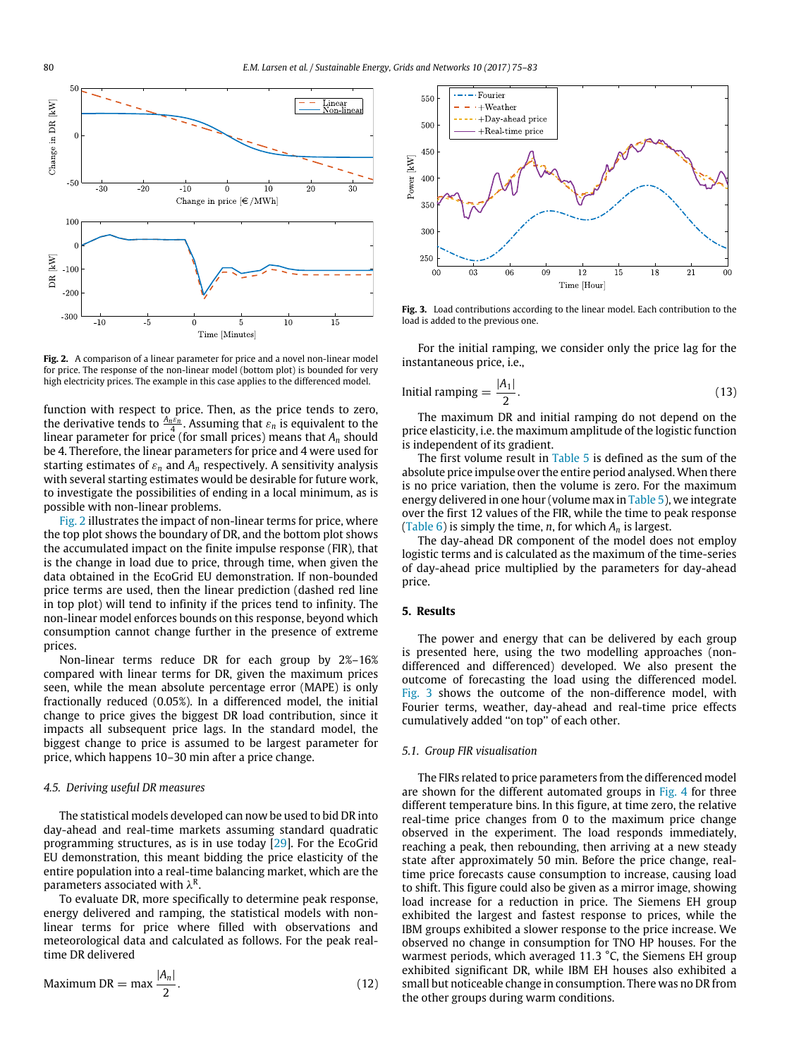<span id="page-5-1"></span>

**Fig. 2.** A comparison of a linear parameter for price and a novel non-linear model for price. The response of the non-linear model (bottom plot) is bounded for very high electricity prices. The example in this case applies to the differenced model.

function with respect to price. Then, as the price tends to zero, the derivative tends to  $\frac{A_n \varepsilon_n}{4}$ . Assuming that  $\varepsilon_n$  is equivalent to the linear parameter for price (for small prices) means that *A<sup>n</sup>* should be 4. Therefore, the linear parameters for price and 4 were used for starting estimates of  $\varepsilon_n$  and  $A_n$  respectively. A sensitivity analysis with several starting estimates would be desirable for future work, to investigate the possibilities of ending in a local minimum, as is possible with non-linear problems.

[Fig. 2](#page-5-1) illustrates the impact of non-linear terms for price, where the top plot shows the boundary of DR, and the bottom plot shows the accumulated impact on the finite impulse response (FIR), that is the change in load due to price, through time, when given the data obtained in the EcoGrid EU demonstration. If non-bounded price terms are used, then the linear prediction (dashed red line in top plot) will tend to infinity if the prices tend to infinity. The non-linear model enforces bounds on this response, beyond which consumption cannot change further in the presence of extreme prices.

Non-linear terms reduce DR for each group by 2%–16% compared with linear terms for DR, given the maximum prices seen, while the mean absolute percentage error (MAPE) is only fractionally reduced (0.05%). In a differenced model, the initial change to price gives the biggest DR load contribution, since it impacts all subsequent price lags. In the standard model, the biggest change to price is assumed to be largest parameter for price, which happens 10–30 min after a price change.

#### *4.5. Deriving useful DR measures*

The statistical models developed can now be used to bid DR into day-ahead and real-time markets assuming standard quadratic programming structures, as is in use today [\[29\]](#page-8-28). For the EcoGrid EU demonstration, this meant bidding the price elasticity of the entire population into a real-time balancing market, which are the parameters associated with  $\lambda^{\text{R}}.$ 

To evaluate DR, more specifically to determine peak response, energy delivered and ramping, the statistical models with nonlinear terms for price where filled with observations and meteorological data and calculated as follows. For the peak realtime DR delivered

Maximum DR = max 
$$
\frac{|A_n|}{2}
$$
. (12)

<span id="page-5-2"></span>

**Fig. 3.** Load contributions according to the linear model. Each contribution to the load is added to the previous one.

For the initial ramping, we consider only the price lag for the instantaneous price, i.e.,

Initial ramping = 
$$
\frac{|A_1|}{2}
$$
. (13)

The maximum DR and initial ramping do not depend on the price elasticity, i.e. the maximum amplitude of the logistic function is independent of its gradient.

The first volume result in [Table 5](#page-6-0) is defined as the sum of the absolute price impulse over the entire period analysed. When there is no price variation, then the volume is zero. For the maximum energy delivered in one hour (volume max in [Table 5\)](#page-6-0), we integrate over the first 12 values of the FIR, while the time to peak response [\(Table 6\)](#page-7-0) is simply the time, *n*, for which *A<sup>n</sup>* is largest.

The day-ahead DR component of the model does not employ logistic terms and is calculated as the maximum of the time-series of day-ahead price multiplied by the parameters for day-ahead price.

# <span id="page-5-0"></span>**5. Results**

The power and energy that can be delivered by each group is presented here, using the two modelling approaches (nondifferenced and differenced) developed. We also present the outcome of forecasting the load using the differenced model. [Fig. 3](#page-5-2) shows the outcome of the non-difference model, with Fourier terms, weather, day-ahead and real-time price effects cumulatively added ''on top'' of each other.

#### *5.1. Group FIR visualisation*

The FIRs related to price parameters from the differenced model are shown for the different automated groups in [Fig. 4](#page-6-1) for three different temperature bins. In this figure, at time zero, the relative real-time price changes from 0 to the maximum price change observed in the experiment. The load responds immediately, reaching a peak, then rebounding, then arriving at a new steady state after approximately 50 min. Before the price change, realtime price forecasts cause consumption to increase, causing load to shift. This figure could also be given as a mirror image, showing load increase for a reduction in price. The Siemens EH group exhibited the largest and fastest response to prices, while the IBM groups exhibited a slower response to the price increase. We observed no change in consumption for TNO HP houses. For the warmest periods, which averaged 11.3 °C, the Siemens EH group exhibited significant DR, while IBM EH houses also exhibited a small but noticeable change in consumption. There was no DR from the other groups during warm conditions.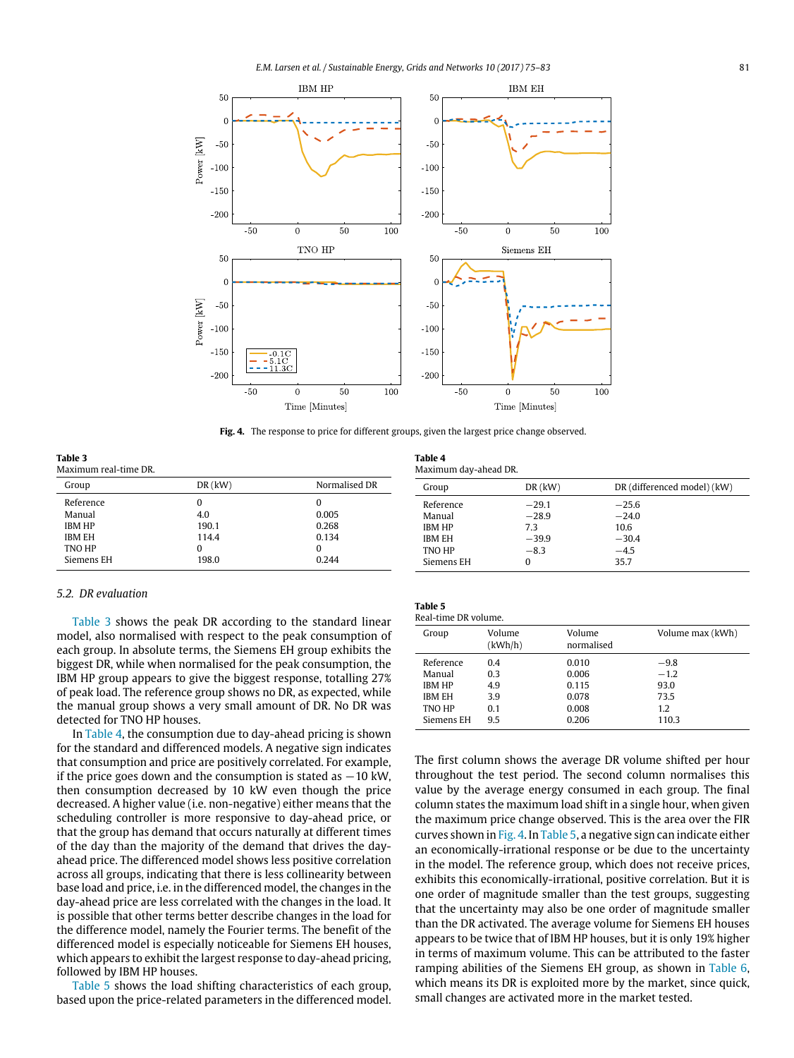<span id="page-6-1"></span>

**Fig. 4.** The response to price for different groups, given the largest price change observed.

<span id="page-6-3"></span>**Table 4**

Maximum day-ahead DR.

<span id="page-6-2"></span>**Table 3** Maximum real-time DR.

| DR (differenced model) (kW) |
|-----------------------------|
|                             |
|                             |
|                             |
|                             |
|                             |
|                             |
|                             |

# *5.2. DR evaluation*

[Table 3](#page-6-2) shows the peak DR according to the standard linear model, also normalised with respect to the peak consumption of each group. In absolute terms, the Siemens EH group exhibits the biggest DR, while when normalised for the peak consumption, the IBM HP group appears to give the biggest response, totalling 27% of peak load. The reference group shows no DR, as expected, while the manual group shows a very small amount of DR. No DR was detected for TNO HP houses.

In [Table 4,](#page-6-3) the consumption due to day-ahead pricing is shown for the standard and differenced models. A negative sign indicates that consumption and price are positively correlated. For example, if the price goes down and the consumption is stated as  $-10$  kW, then consumption decreased by 10 kW even though the price decreased. A higher value (i.e. non-negative) either means that the scheduling controller is more responsive to day-ahead price, or that the group has demand that occurs naturally at different times of the day than the majority of the demand that drives the dayahead price. The differenced model shows less positive correlation across all groups, indicating that there is less collinearity between base load and price, i.e. in the differenced model, the changes in the day-ahead price are less correlated with the changes in the load. It is possible that other terms better describe changes in the load for the difference model, namely the Fourier terms. The benefit of the differenced model is especially noticeable for Siemens EH houses, which appears to exhibit the largest response to day-ahead pricing, followed by IBM HP houses.

[Table 5](#page-6-0) shows the load shifting characteristics of each group, based upon the price-related parameters in the differenced model.

<span id="page-6-0"></span>

| Table |  |  |  |
|-------|--|--|--|
|       |  |  |  |

| Real-time DR volume. |                   |                      |                  |
|----------------------|-------------------|----------------------|------------------|
| Group                | Volume<br>(kWh/h) | Volume<br>normalised | Volume max (kWh) |
| Reference            | 0.4               | 0.010                | $-9.8$           |
| Manual               | 0.3               | 0.006                | $-1.2$           |
| <b>IBM HP</b>        | 4.9               | 0.115                | 93.0             |
| IBM EH               | 3.9               | 0.078                | 73.5             |
| TNO HP               | 0.1               | 0.008                | 1.2              |
| Siemens EH           | 9.5               | 0.206                | 110.3            |

The first column shows the average DR volume shifted per hour throughout the test period. The second column normalises this value by the average energy consumed in each group. The final column states the maximum load shift in a single hour, when given the maximum price change observed. This is the area over the FIR curves shown in [Fig. 4.](#page-6-1) In [Table 5,](#page-6-0) a negative sign can indicate either an economically-irrational response or be due to the uncertainty in the model. The reference group, which does not receive prices, exhibits this economically-irrational, positive correlation. But it is one order of magnitude smaller than the test groups, suggesting that the uncertainty may also be one order of magnitude smaller than the DR activated. The average volume for Siemens EH houses appears to be twice that of IBM HP houses, but it is only 19% higher in terms of maximum volume. This can be attributed to the faster ramping abilities of the Siemens EH group, as shown in [Table 6,](#page-7-0) which means its DR is exploited more by the market, since quick, small changes are activated more in the market tested.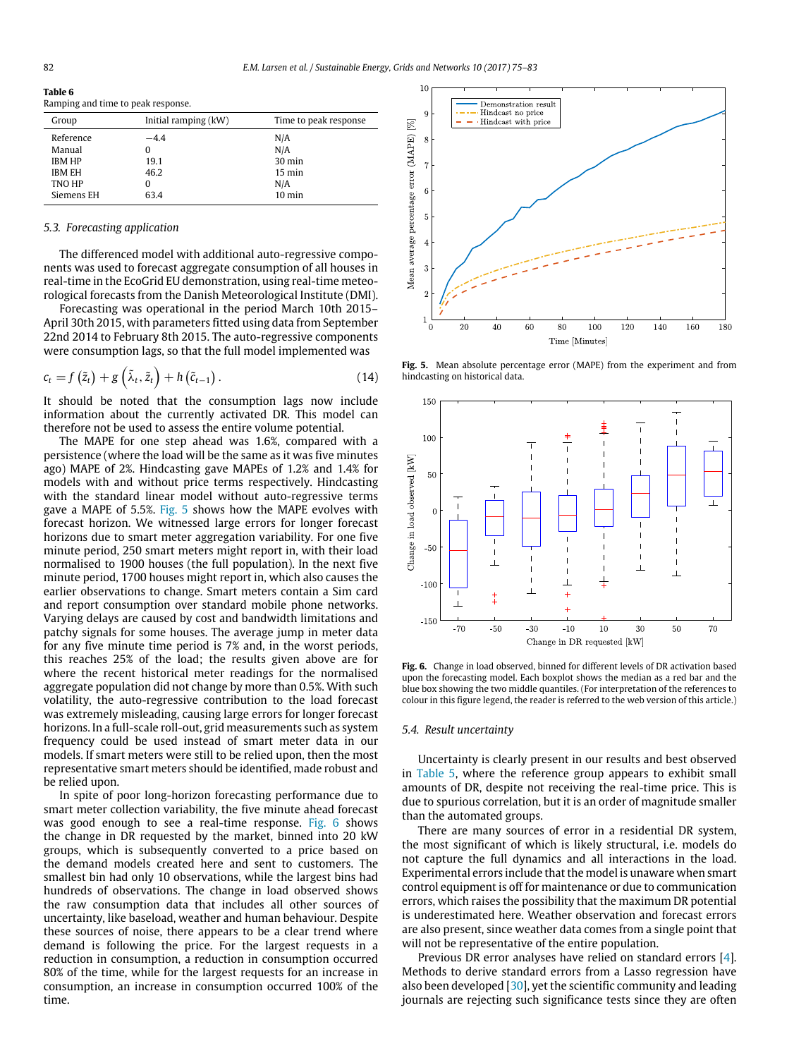<span id="page-7-0"></span>**Table 6**

| . |                                    |
|---|------------------------------------|
|   | Ramping and time to peak response. |

| Group         | Initial ramping (kW) | Time to peak response |
|---------------|----------------------|-----------------------|
| Reference     | $-4.4$               | N/A                   |
| Manual        |                      | N/A                   |
| <b>IBM HP</b> | 19.1                 | $30 \text{ min}$      |
| <b>IBM EH</b> | 46.2                 | $15 \text{ min}$      |
| TNO HP        | 0                    | N/A                   |
| Siemens EH    | 63.4                 | $10 \text{ min}$      |

#### *5.3. Forecasting application*

The differenced model with additional auto-regressive components was used to forecast aggregate consumption of all houses in real-time in the EcoGrid EU demonstration, using real-time meteorological forecasts from the Danish Meteorological Institute (DMI).

Forecasting was operational in the period March 10th 2015– April 30th 2015, with parameters fitted using data from September 22nd 2014 to February 8th 2015. The auto-regressive components were consumption lags, so that the full model implemented was

$$
c_{t} = f\left(\tilde{z}_{t}\right) + g\left(\tilde{\lambda}_{t}, \tilde{z}_{t}\right) + h\left(\tilde{c}_{t-1}\right). \tag{14}
$$

It should be noted that the consumption lags now include information about the currently activated DR. This model can therefore not be used to assess the entire volume potential.

The MAPE for one step ahead was 1.6%, compared with a persistence (where the load will be the same as it was five minutes ago) MAPE of 2%. Hindcasting gave MAPEs of 1.2% and 1.4% for models with and without price terms respectively. Hindcasting with the standard linear model without auto-regressive terms gave a MAPE of 5.5%. [Fig. 5](#page-7-1) shows how the MAPE evolves with forecast horizon. We witnessed large errors for longer forecast horizons due to smart meter aggregation variability. For one five minute period, 250 smart meters might report in, with their load normalised to 1900 houses (the full population). In the next five minute period, 1700 houses might report in, which also causes the earlier observations to change. Smart meters contain a Sim card and report consumption over standard mobile phone networks. Varying delays are caused by cost and bandwidth limitations and patchy signals for some houses. The average jump in meter data for any five minute time period is 7% and, in the worst periods, this reaches 25% of the load; the results given above are for where the recent historical meter readings for the normalised aggregate population did not change by more than 0.5%. With such volatility, the auto-regressive contribution to the load forecast was extremely misleading, causing large errors for longer forecast horizons. In a full-scale roll-out, grid measurements such as system frequency could be used instead of smart meter data in our models. If smart meters were still to be relied upon, then the most representative smart meters should be identified, made robust and be relied upon.

In spite of poor long-horizon forecasting performance due to smart meter collection variability, the five minute ahead forecast was good enough to see a real-time response. [Fig. 6](#page-7-2) shows the change in DR requested by the market, binned into 20 kW groups, which is subsequently converted to a price based on the demand models created here and sent to customers. The smallest bin had only 10 observations, while the largest bins had hundreds of observations. The change in load observed shows the raw consumption data that includes all other sources of uncertainty, like baseload, weather and human behaviour. Despite these sources of noise, there appears to be a clear trend where demand is following the price. For the largest requests in a reduction in consumption, a reduction in consumption occurred 80% of the time, while for the largest requests for an increase in consumption, an increase in consumption occurred 100% of the time.

<span id="page-7-1"></span>

**Fig. 5.** Mean absolute percentage error (MAPE) from the experiment and from hindcasting on historical data.

<span id="page-7-2"></span>

**Fig. 6.** Change in load observed, binned for different levels of DR activation based upon the forecasting model. Each boxplot shows the median as a red bar and the blue box showing the two middle quantiles. (For interpretation of the references to colour in this figure legend, the reader is referred to the web version of this article.)

#### *5.4. Result uncertainty*

Uncertainty is clearly present in our results and best observed in [Table 5,](#page-6-0) where the reference group appears to exhibit small amounts of DR, despite not receiving the real-time price. This is due to spurious correlation, but it is an order of magnitude smaller than the automated groups.

There are many sources of error in a residential DR system, the most significant of which is likely structural, i.e. models do not capture the full dynamics and all interactions in the load. Experimental errors include that the model is unaware when smart control equipment is off for maintenance or due to communication errors, which raises the possibility that the maximum DR potential is underestimated here. Weather observation and forecast errors are also present, since weather data comes from a single point that will not be representative of the entire population.

Previous DR error analyses have relied on standard errors [\[4\]](#page-8-3). Methods to derive standard errors from a Lasso regression have also been developed [\[30\]](#page-8-29), yet the scientific community and leading journals are rejecting such significance tests since they are often